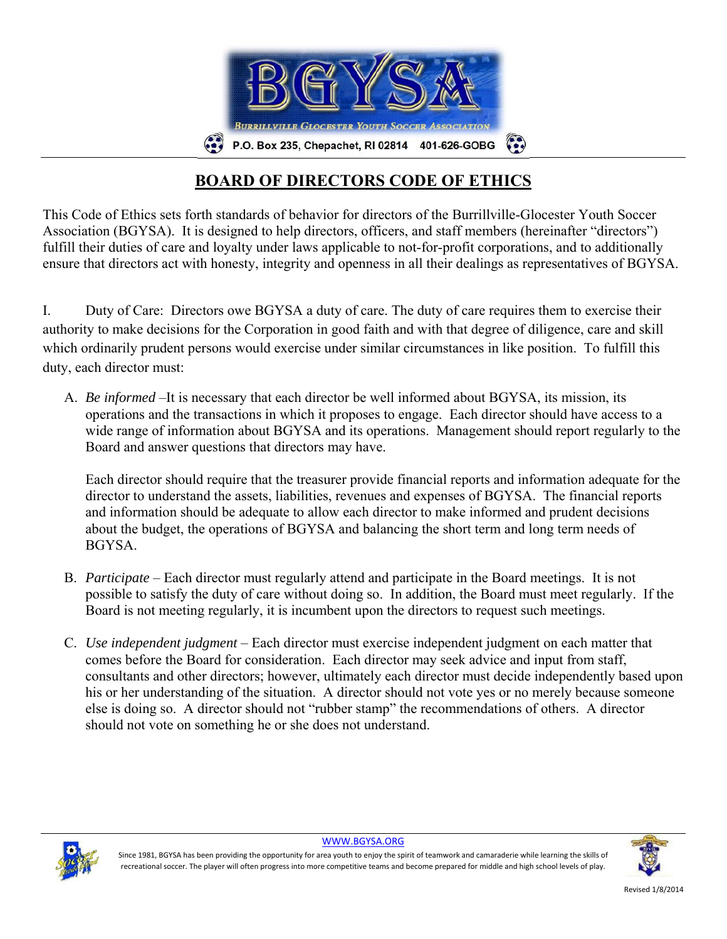

## **BOARD OF DIRECTORS CODE OF ETHICS**

This Code of Ethics sets forth standards of behavior for directors of the Burrillville-Glocester Youth Soccer Association (BGYSA). It is designed to help directors, officers, and staff members (hereinafter "directors") fulfill their duties of care and loyalty under laws applicable to not-for-profit corporations, and to additionally ensure that directors act with honesty, integrity and openness in all their dealings as representatives of BGYSA.

I. Duty of Care: Directors owe BGYSA a duty of care. The duty of care requires them to exercise their authority to make decisions for the Corporation in good faith and with that degree of diligence, care and skill which ordinarily prudent persons would exercise under similar circumstances in like position. To fulfill this duty, each director must:

A. *Be informed* –It is necessary that each director be well informed about BGYSA, its mission, its operations and the transactions in which it proposes to engage. Each director should have access to a wide range of information about BGYSA and its operations. Management should report regularly to the Board and answer questions that directors may have.

Each director should require that the treasurer provide financial reports and information adequate for the director to understand the assets, liabilities, revenues and expenses of BGYSA. The financial reports and information should be adequate to allow each director to make informed and prudent decisions about the budget, the operations of BGYSA and balancing the short term and long term needs of **BGYSA** 

- B. *Participate* Each director must regularly attend and participate in the Board meetings. It is not possible to satisfy the duty of care without doing so. In addition, the Board must meet regularly. If the Board is not meeting regularly, it is incumbent upon the directors to request such meetings.
- C. *Use independent judgment* Each director must exercise independent judgment on each matter that comes before the Board for consideration. Each director may seek advice and input from staff, consultants and other directors; however, ultimately each director must decide independently based upon his or her understanding of the situation. A director should not vote yes or no merely because someone else is doing so. A director should not "rubber stamp" the recommendations of others. A director should not vote on something he or she does not understand.



WWW.BGYSA.ORG